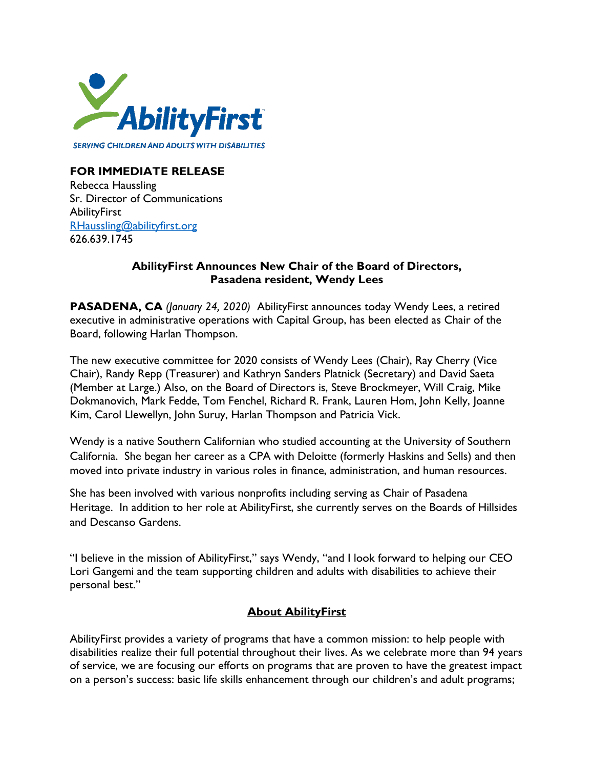

## **FOR IMMEDIATE RELEASE**

Rebecca Haussling Sr. Director of Communications **AbilityFirst** [RHaussling@abilityfirst.org](mailto:RHaussling@abilityfirst.org) 626.639.1745

## **AbilityFirst Announces New Chair of the Board of Directors, Pasadena resident, Wendy Lees**

**PASADENA, CA** *(January 24, 2020)*AbilityFirst announces today Wendy Lees, a retired executive in administrative operations with Capital Group, has been elected as Chair of the Board, following Harlan Thompson.

The new executive committee for 2020 consists of Wendy Lees (Chair), Ray Cherry (Vice Chair), Randy Repp (Treasurer) and Kathryn Sanders Platnick (Secretary) and David Saeta (Member at Large.) Also, on the Board of Directors is, Steve Brockmeyer, Will Craig, Mike Dokmanovich, Mark Fedde, Tom Fenchel, Richard R. Frank, Lauren Hom, John Kelly, Joanne Kim, Carol Llewellyn, John Suruy, Harlan Thompson and Patricia Vick.

Wendy is a native Southern Californian who studied accounting at the University of Southern California. She began her career as a CPA with Deloitte (formerly Haskins and Sells) and then moved into private industry in various roles in finance, administration, and human resources.

She has been involved with various nonprofits including serving as Chair of Pasadena Heritage. In addition to her role at AbilityFirst, she currently serves on the Boards of Hillsides and Descanso Gardens.

"I believe in the mission of AbilityFirst," says Wendy, "and I look forward to helping our CEO Lori Gangemi and the team supporting children and adults with disabilities to achieve their personal best."

## **About AbilityFirst**

AbilityFirst provides a variety of programs that have a common mission: to help people with disabilities realize their full potential throughout their lives. As we celebrate more than 94 years of service, we are focusing our efforts on programs that are proven to have the greatest impact on a person's success: basic life skills enhancement through our children's and adult programs;